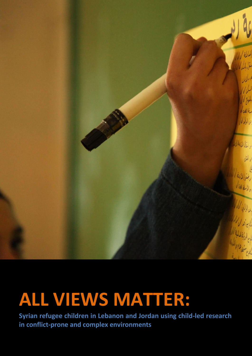

## **ALL VIEWS MATTER:**

**Syrian refugee children in Lebanon and Jordan using child-led research in conflict-prone and complex environments**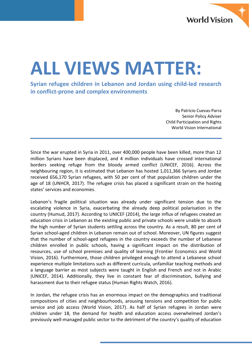

# **ALL VIEWS MATTER:**

**Syrian refugee children in Lebanon and Jordan using child-led research in conflict-prone and complex environments**

> By Patricio Cuevas-Parra Senior Policy Adviser Child Participation and Rights World Vision International

Since the war erupted in Syria in 2011, over 400,000 people have been killed, more than 12 million Syrians have been displaced, and 4 million individuals have crossed international borders seeking refuge from the bloody armed conflict (UNICEF, 2016). Across the neighbouring region, it is estimated that Lebanon has hosted 1,011,366 Syrians and Jordan received 656,170 Syrian refugees, with 50 per cent of that population children under the age of 18 (UNHCR, 2017). The refugee crisis has placed a significant strain on the hosting states' services and economies.

Lebanon's fragile political situation was already under significant tension due to the escalating violence in Syria, exacerbating the already deep political polarisation in the country (Humud, 2017). According to UNICEF (2014), the large influx of refugees created an education crisis in Lebanon as the existing public and private schools were unable to absorb the high number of Syrian students settling across the country. As a result, 80 per cent of Syrian school-aged children in Lebanon remain out of school. Moreover, UN figures suggest that the number of school-aged refugees in the country exceeds the number of Lebanese children enrolled in public schools, having a significant impact on the distribution of resources, use of school premises and quality of learning (Frontier Economics and World Vision, 2016). Furthermore, those children privileged enough to attend a Lebanese school experience multiple limitations such as different curricula, unfamiliar teaching methods and a language barrier as most subjects were taught in English and French and not in Arabic (UNICEF, 2014). Additionally, they live in constant fear of discrimination, bullying and harassment due to their refugee status (Human Rights Watch, 2016).

In Jordan, the refugee crisis has an enormous impact on the demographics and traditional compositions of cities and neighbourhoods, arousing tensions and competition for public service and job access (World Vision, 2017). As half of Syrian refugees in Jordan were children under 18, the demand for health and education access overwhelmed Jordan's previously well-managed public sector to the detriment of the country's quality of education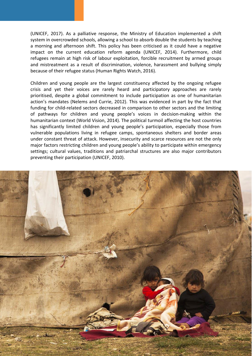(UNICEF, 2017). As a palliative response, the Ministry of Education implemented a shift system in overcrowded schools, allowing a school to absorb double the students by teaching a morning and afternoon shift. This policy has been criticised as it could have a negative impact on the current education reform agenda (UNICEF, 2014). Furthermore, child refugees remain at high risk of labour exploitation, forcible recruitment by armed groups and mistreatment as a result of discrimination, violence, harassment and bullying simply because of their refugee status (Human Rights Watch, 2016).

Children and young people are the largest constituency affected by the ongoing refugee crisis and yet their voices are rarely heard and participatory approaches are rarely prioritised, despite a global commitment to include participation as one of humanitarian action's mandates (Nelems and Currie, 2012). This was evidenced in part by the fact that funding for child-related sectors decreased in comparison to other sectors and the limiting of pathways for children and young people's voices in decision-making within the humanitarian context (World Vision, 2014). The political turmoil affecting the host countries has significantly limited children and young people's participation, especially those from vulnerable populations living in refugee camps, spontaneous shelters and border areas under constant threat of attack. However, insecurity and scarce resources are not the only major factors restricting children and young people's ability to participate within emergency settings; cultural values, traditions and patriarchal structures are also major contributors preventing their participation (UNICEF, 2010).

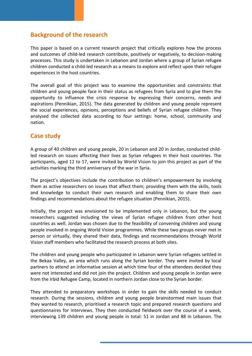## **Background of the research**

This paper is based on a current research project that critically explores how the process and outcomes of child-led research contribute, positively or negatively, to decision-making processes. This study is undertaken in Lebanon and Jordan where a group of Syrian refugee children conducted a child-led research as a means to explore and reflect upon their refugee experiences in the host countries.

The overall goal of this project was to examine the opportunities and constraints that children and young people face in their status as refugees from Syria and to give them the opportunity to influence the crisis response by expressing their concerns, needs and aspirations (Pennikian, 2015). The data generated by children and young people represent the social experiences, opinions, perceptions and beliefs of Syrian refugee children. They analysed the collected data according to four settings: home, school, community and nation.

### **Case study**

A group of 40 children and young people, 20 in Lebanon and 20 in Jordan, conducted childled research on issues affecting their lives as Syrian refugees in their host countries. The participants, aged 12 to 17, were invited by World Vision to join this project as part of the activities marking the third anniversary of the war in Syria.

The project's objectives include the contribution to children's empowerment by involving them as active researchers on issues that affect them; providing them with the skills, tools and knowledge to conduct their own research and enabling them to share their own findings and recommendations about the refugee situation (Pennikian, 2015).

Initially, the project was envisioned to be implemented only in Lebanon, but the young researchers suggested including the views of Syrian refugee children from other host countries as well. Jordan was chosen due to the feasibility of convening children and young people involved in ongoing World Vision programmes. While these two groups never met in person or virtually, they shared their data, findings and recommendations through World Vision staff members who facilitated the research process at both sites.

The children and young people who participated in Lebanon were Syrian refugees settled in the Bekaa Valley, an area which runs along the Syrian border. They were invited by local partners to attend an informative session at which time four of the attendees decided they were not interested and did not join the project. Children and young people in Jordan were from the Irbid Refugee Camp, located in northern Jordan close to the Syrian border.

They attended to preparatory workshops in order to gain the skills needed to conduct research. During the sessions, children and young people brainstormed main issues that they wanted to research, prioritised a research topic and prepared research questions and questionnaires for interviews. They then conducted fieldwork over the course of a week, interviewing 139 children and young people in total: 51 in Jordan and 88 in Lebanon. The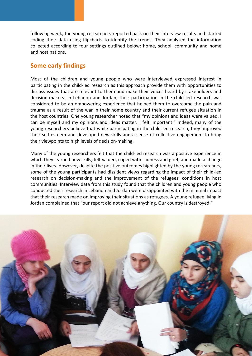following week, the young researchers reported back on their interview results and started coding their data using flipcharts to identify the trends. They analysed the information collected according to four settings outlined below: home, school, community and home and host nations.

#### **Some early findings**

Most of the children and young people who were interviewed expressed interest in participating in the child-led research as this approach provide them with opportunities to discuss issues that are relevant to them and make their voices heard by stakeholders and decision-makers. In Lebanon and Jordan, their participation in the child-led research was considered to be an empowering experience that helped them to overcome the pain and trauma as a result of the war in their home country and their current refugee situation in the host countries. One young researcher noted that "my opinions and ideas were valued. I can be myself and my opinions and ideas matter. I felt important." Indeed, many of the young researchers believe that while participating in the child-led research, they improved their self-esteem and developed new skills and a sense of collective engagement to bring their viewpoints to high levels of decision-making.

Many of the young researchers felt that the child-led research was a positive experience in which they learned new skills, felt valued, coped with sadness and grief, and made a change in their lives. However, despite the positive outcomes highlighted by the young researchers, some of the young participants had dissident views regarding the impact of their child-led research on decision-making and the improvement of the refugees' conditions in host communities. Interview data from this study found that the children and young people who conducted their research in Lebanon and Jordan were disappointed with the minimal impact that their research made on improving their situations as refugees. A young refugee living in Jordan complained that "our report did not achieve anything. Our country is destroyed."

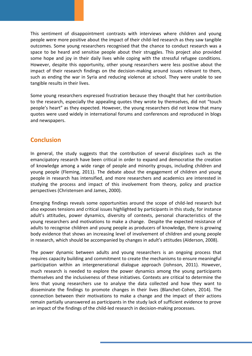This sentiment of disappointment contrasts with interviews where children and young people were more positive about the impact of their child-led research as they saw tangible outcomes. Some young researchers recognised that the chance to conduct research was a space to be heard and sensitise people about their struggles. This project also provided some hope and joy in their daily lives while coping with the stressful refugee conditions. However, despite this opportunity, other young researchers were less positive about the impact of their research findings on the decision-making around issues relevant to them, such as ending the war in Syria and reducing violence at school. They were unable to see tangible results in their lives.

Some young researchers expressed frustration because they thought that her contribution to the research, especially the appealing quotes they wrote by themselves, did not "touch people's heart" as they expected. However, the young researchers did not know that many quotes were used widely in international forums and conferences and reproduced in blogs and newspapers.

#### **Conclusion**

In general, the study suggests that the contribution of several disciplines such as the emancipatory research have been critical in order to expand and democratise the creation of knowledge among a wide range of people and minority groups, including children and young people (Fleming, 2011). The debate about the engagement of children and young people in research has intensified, and more researchers and academics are interested in studying the process and impact of this involvement from theory, policy and practice perspectives (Christensen and James, 2000).

Emerging findings reveals some opportunities around the scope of child-led research but also exposes tensions and critical issues highlighted by participants in this study, for instance adult's attitudes, power dynamics, diversity of contexts, personal characteristics of the young researchers and motivations to make a change. Despite the expected resistance of adults to recognise children and young people as producers of knowledge, there is growing body evidence that shows an increasing level of involvement of children and young people in research, which should be accompanied by changes in adult's attitudes (Alderson, 2008).

The power dynamic between adults and young researchers is an ongoing process that requires capacity building and commitment to create the mechanisms to ensure meaningful participation within an intergenerational dialogue approach (Johnson, 2011). However, much research is needed to explore the power dynamics among the young participants themselves and the inclusiveness of these initiatives. Contexts are critical to determine the lens that young researchers use to analyse the data collected and how they want to disseminate the findings to promote changes in their lives (Blanchet-Cohen, 2014). The connection between their motivations to make a change and the impact of their actions remain partially unanswered as participants in the study lack of sufficient evidence to prove an impact of the findings of the child-led research in decision-making processes.